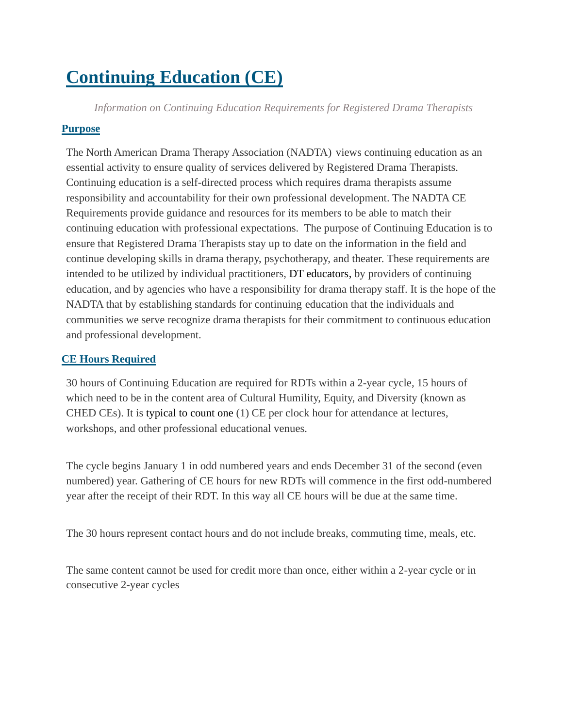# **Continuing Education (CE)**

*Information on Continuing Education Requirements for Registered Drama Therapists*

# **Purpose**

The North American Drama Therapy Association (NADTA) views continuing education as an essential activity to ensure quality of services delivered by Registered Drama Therapists. Continuing education is a self-directed process which requires drama therapists assume responsibility and accountability for their own professional development. The NADTA CE Requirements provide guidance and resources for its members to be able to match their continuing education with professional expectations. The purpose of Continuing Education is to ensure that Registered Drama Therapists stay up to date on the information in the field and continue developing skills in drama therapy, psychotherapy, and theater. These requirements are intended to be utilized by individual practitioners, DT educators, by providers of continuing education, and by agencies who have a responsibility for drama therapy staff. It is the hope of the NADTA that by establishing standards for continuing education that the individuals and communities we serve recognize drama therapists for their commitment to continuous education and professional development.

# **CE Hours Required**

30 hours of Continuing Education are required for RDTs within a 2-year cycle, 15 hours of which need to be in the content area of Cultural Humility, Equity, and Diversity (known as CHED CEs). It is typical to count one (1) CE per clock hour for attendance at lectures, workshops, and other professional educational venues.

The cycle begins January 1 in odd numbered years and ends December 31 of the second (even numbered) year. Gathering of CE hours for new RDTs will commence in the first odd-numbered year after the receipt of their RDT. In this way all CE hours will be due at the same time.

The 30 hours represent contact hours and do not include breaks, commuting time, meals, etc.

The same content cannot be used for credit more than once, either within a 2-year cycle or in consecutive 2-year cycles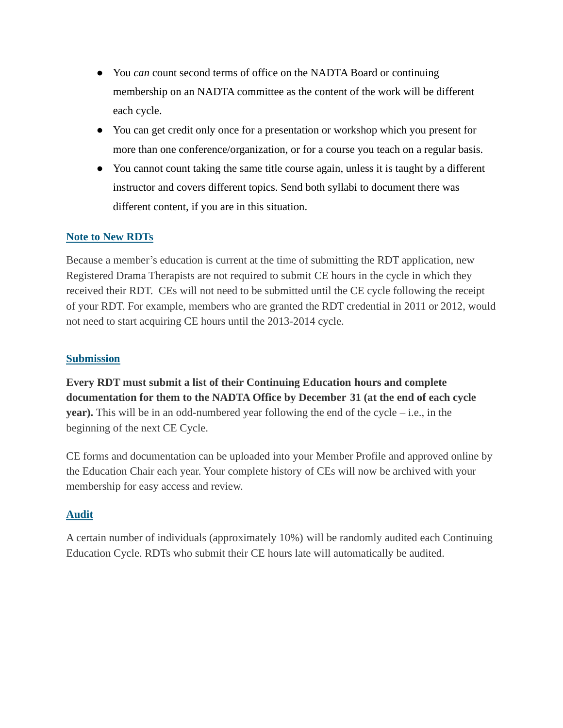- You *can* count second terms of office on the NADTA Board or continuing membership on an NADTA committee as the content of the work will be different each cycle.
- You can get credit only once for a presentation or workshop which you present for more than one conference/organization, or for a course you teach on a regular basis.
- You cannot count taking the same title course again, unless it is taught by a different instructor and covers different topics. Send both syllabi to document there was different content, if you are in this situation.

## **Note to New RDTs**

Because a member's education is current at the time of submitting the RDT application, new Registered Drama Therapists are not required to submit CE hours in the cycle in which they received their RDT. CEs will not need to be submitted until the CE cycle following the receipt of your RDT. For example, members who are granted the RDT credential in 2011 or 2012, would not need to start acquiring CE hours until the 2013-2014 cycle.

## **Submission**

**Every RDT must submit a list of their Continuing Education hours and complete documentation for them to the NADTA Office by December 31 (at the end of each cycle year).** This will be in an odd-numbered year following the end of the cycle – i.e., in the beginning of the next CE Cycle.

CE forms and documentation can be uploaded into your Member Profile and approved online by the Education Chair each year. Your complete history of CEs will now be archived with your membership for easy access and review.

## **Audit**

A certain number of individuals (approximately 10%) will be randomly audited each Continuing Education Cycle. RDTs who submit their CE hours late will automatically be audited.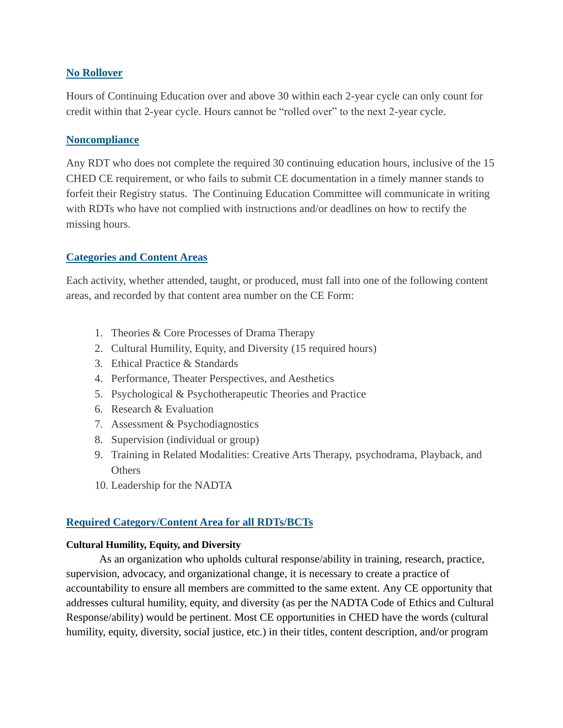## **No Rollover**

Hours of Continuing Education over and above 30 within each 2-year cycle can only count for credit within that 2-year cycle. Hours cannot be "rolled over" to the next 2-year cycle.

#### **Noncompliance**

Any RDT who does not complete the required 30 continuing education hours, inclusive of the 15 CHED CE requirement, or who fails to submit CE documentation in a timely manner stands to forfeit their Registry status. The Continuing Education Committee will communicate in writing with RDTs who have not complied with instructions and/or deadlines on how to rectify the missing hours.

## **Categories and Content Areas**

Each activity, whether attended, taught, or produced, must fall into one of the following content areas, and recorded by that content area number on the CE Form:

- 1. Theories & Core Processes of Drama Therapy
- 2. Cultural Humility, Equity, and Diversity (15 required hours)
- 3. Ethical Practice & Standards
- 4. Performance, Theater Perspectives, and Aesthetics
- 5. Psychological & Psychotherapeutic Theories and Practice
- 6. Research & Evaluation
- 7. Assessment & Psychodiagnostics
- 8. Supervision (individual or group)
- 9. Training in Related Modalities: Creative Arts Therapy, psychodrama, Playback, and **Others**
- 10. Leadership for the NADTA

## **Required Category/Content Area for all RDTs/BCTs**

#### **Cultural Humility, Equity, and Diversity**

As an organization who upholds cultural response/ability in training, research, practice, supervision, advocacy, and organizational change, it is necessary to create a practice of accountability to ensure all members are committed to the same extent. Any CE opportunity that addresses cultural humility, equity, and diversity (as per the NADTA Code of Ethics and Cultural Response/ability) would be pertinent. Most CE opportunities in CHED have the words (cultural humility, equity, diversity, social justice, etc.) in their titles, content description, and/or program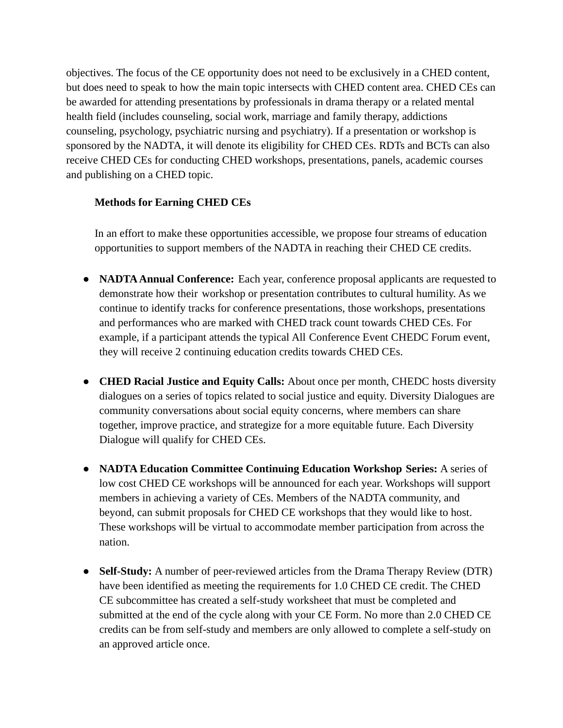objectives. The focus of the CE opportunity does not need to be exclusively in a CHED content, but does need to speak to how the main topic intersects with CHED content area. CHED CEs can be awarded for attending presentations by professionals in drama therapy or a related mental health field (includes counseling, social work, marriage and family therapy, addictions counseling, psychology, psychiatric nursing and psychiatry). If a presentation or workshop is sponsored by the NADTA, it will denote its eligibility for CHED CEs. RDTs and BCTs can also receive CHED CEs for conducting CHED workshops, presentations, panels, academic courses and publishing on a CHED topic.

## **Methods for Earning CHED CEs**

In an effort to make these opportunities accessible, we propose four streams of education opportunities to support members of the NADTA in reaching their CHED CE credits.

- **● NADTAAnnual Conference:** Each year, conference proposal applicants are requested to demonstrate how their workshop or presentation contributes to cultural humility. As we continue to identify tracks for conference presentations, those workshops, presentations and performances who are marked with CHED track count towards CHED CEs. For example, if a participant attends the typical All Conference Event CHEDC Forum event, they will receive 2 continuing education credits towards CHED CEs.
- **● CHED Racial Justice and Equity Calls:** About once per month, CHEDC hosts diversity dialogues on a series of topics related to social justice and equity. Diversity Dialogues are community conversations about social equity concerns, where members can share together, improve practice, and strategize for a more equitable future. Each Diversity Dialogue will qualify for CHED CEs.
- **● NADTA Education Committee Continuing Education Workshop Series:** A series of low cost CHED CE workshops will be announced for each year. Workshops will support members in achieving a variety of CEs. Members of the NADTA community, and beyond, can submit proposals for CHED CE workshops that they would like to host. These workshops will be virtual to accommodate member participation from across the nation.
- **● Self-Study:** A number of peer-reviewed articles from the Drama Therapy Review (DTR) have been identified as meeting the requirements for 1.0 CHED CE credit. The CHED CE subcommittee has created a self-study worksheet that must be completed and submitted at the end of the cycle along with your CE Form. No more than 2.0 CHED CE credits can be from self-study and members are only allowed to complete a self-study on an approved article once.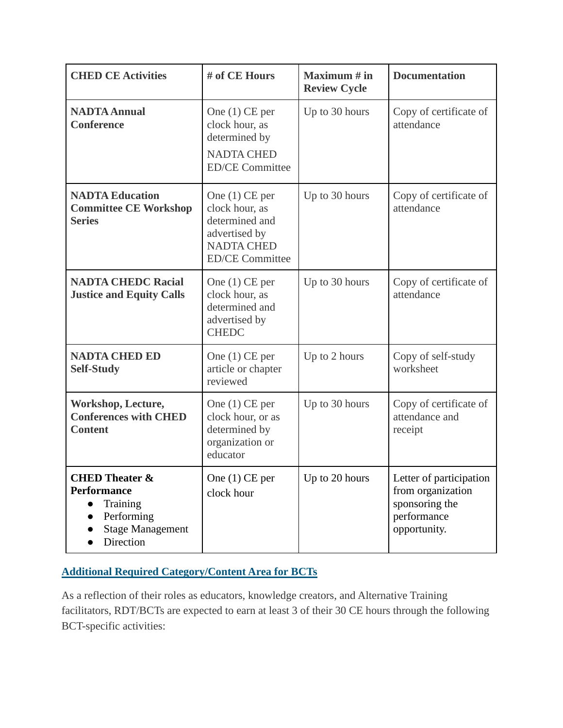| <b>CHED CE Activities</b>                                                                                         | # of CE Hours                                                                                                        | Maximum $#$ in<br><b>Review Cycle</b> | <b>Documentation</b>                                                                          |
|-------------------------------------------------------------------------------------------------------------------|----------------------------------------------------------------------------------------------------------------------|---------------------------------------|-----------------------------------------------------------------------------------------------|
| <b>NADTA Annual</b><br><b>Conference</b>                                                                          | One $(1)$ CE per<br>clock hour, as<br>determined by<br><b>NADTA CHED</b><br><b>ED/CE Committee</b>                   | Up to 30 hours                        | Copy of certificate of<br>attendance                                                          |
| <b>NADTA Education</b><br><b>Committee CE Workshop</b><br><b>Series</b>                                           | One $(1)$ CE per<br>clock hour, as<br>determined and<br>advertised by<br><b>NADTA CHED</b><br><b>ED/CE Committee</b> | Up to 30 hours                        | Copy of certificate of<br>attendance                                                          |
| <b>NADTA CHEDC Racial</b><br><b>Justice and Equity Calls</b>                                                      | One $(1)$ CE per<br>clock hour, as<br>determined and<br>advertised by<br><b>CHEDC</b>                                | Up to 30 hours                        | Copy of certificate of<br>attendance                                                          |
| <b>NADTA CHED ED</b><br><b>Self-Study</b>                                                                         | One $(1)$ CE per<br>article or chapter<br>reviewed                                                                   | Up to 2 hours                         | Copy of self-study<br>worksheet                                                               |
| Workshop, Lecture,<br><b>Conferences with CHED</b><br><b>Content</b>                                              | One $(1)$ CE per<br>clock hour, or as<br>determined by<br>organization or<br>educator                                | Up to 30 hours                        | Copy of certificate of<br>attendance and<br>receipt                                           |
| <b>CHED Theater &amp;</b><br><b>Performance</b><br>Training<br>Performing<br><b>Stage Management</b><br>Direction | One $(1)$ CE per<br>clock hour                                                                                       | Up to 20 hours                        | Letter of participation<br>from organization<br>sponsoring the<br>performance<br>opportunity. |

# **Additional Required Category/Content Area for BCTs**

As a reflection of their roles as educators, knowledge creators, and Alternative Training facilitators, RDT/BCTs are expected to earn at least 3 of their 30 CE hours through the following BCT-specific activities: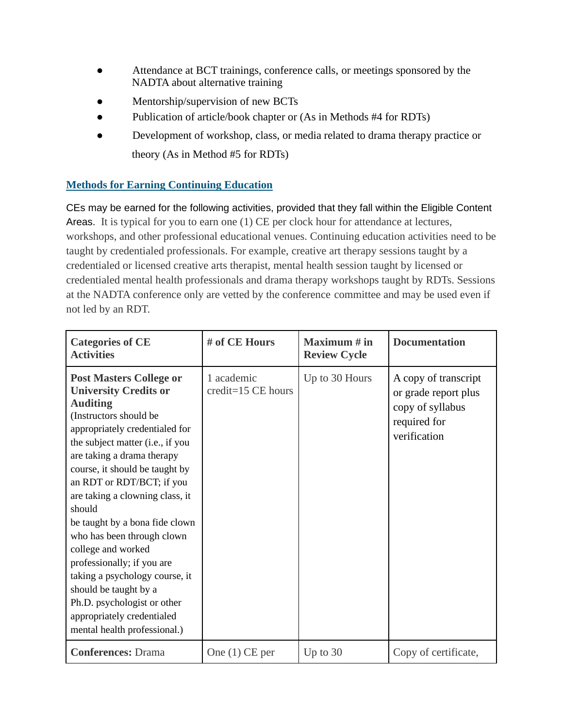- Attendance at BCT trainings, conference calls, or meetings sponsored by the NADTA about alternative training
- Mentorship/supervision of new BCTs
- Publication of article/book chapter or (As in Methods #4 for RDTs)
- Development of workshop, class, or media related to drama therapy practice or theory (As in Method #5 for RDTs)

## **Methods for Earning Continuing Education**

CEs may be earned for the following activities, provided that they fall within the Eligible Content Areas. It is typical for you to earn one (1) CE per clock hour for attendance at lectures, workshops, and other professional educational venues. Continuing education activities need to be taught by credentialed professionals. For example, creative art therapy sessions taught by a credentialed or licensed creative arts therapist, mental health session taught by licensed or credentialed mental health professionals and drama therapy workshops taught by RDTs. Sessions at the NADTA conference only are vetted by the conference committee and may be used even if not led by an RDT.

| <b>Categories of CE</b><br><b>Activities</b>                                                                                                                                                                                                                                                                                                                                                                                                                                                                                                                                                            | # of CE Hours                    | Maximum $#$ in<br><b>Review Cycle</b> | <b>Documentation</b>                                                                             |
|---------------------------------------------------------------------------------------------------------------------------------------------------------------------------------------------------------------------------------------------------------------------------------------------------------------------------------------------------------------------------------------------------------------------------------------------------------------------------------------------------------------------------------------------------------------------------------------------------------|----------------------------------|---------------------------------------|--------------------------------------------------------------------------------------------------|
| <b>Post Masters College or</b><br><b>University Credits or</b><br><b>Auditing</b><br>(Instructors should be<br>appropriately credentialed for<br>the subject matter (i.e., if you<br>are taking a drama therapy<br>course, it should be taught by<br>an RDT or RDT/BCT; if you<br>are taking a clowning class, it<br>should<br>be taught by a bona fide clown<br>who has been through clown<br>college and worked<br>professionally; if you are<br>taking a psychology course, it<br>should be taught by a<br>Ph.D. psychologist or other<br>appropriately credentialed<br>mental health professional.) | 1 academic<br>credit=15 CE hours | Up to 30 Hours                        | A copy of transcript<br>or grade report plus<br>copy of syllabus<br>required for<br>verification |
| <b>Conferences: Drama</b>                                                                                                                                                                                                                                                                                                                                                                                                                                                                                                                                                                               | One $(1)$ CE per                 | Up to $30$                            | Copy of certificate,                                                                             |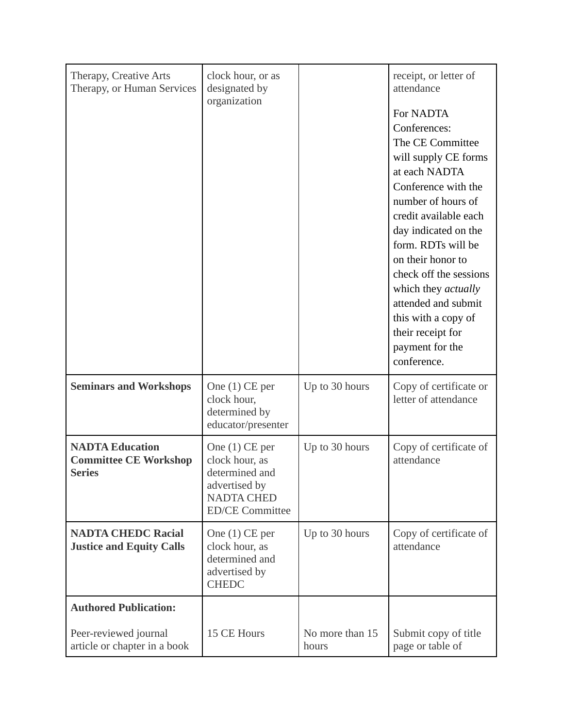| Therapy, Creative Arts<br>Therapy, or Human Services                    | clock hour, or as<br>designated by<br>organization                                                                   |                          | receipt, or letter of<br>attendance<br>For NADTA<br>Conferences:<br>The CE Committee<br>will supply CE forms<br>at each NADTA<br>Conference with the<br>number of hours of<br>credit available each<br>day indicated on the<br>form. RDTs will be<br>on their honor to<br>check off the sessions<br>which they <i>actually</i><br>attended and submit<br>this with a copy of<br>their receipt for<br>payment for the<br>conference. |
|-------------------------------------------------------------------------|----------------------------------------------------------------------------------------------------------------------|--------------------------|-------------------------------------------------------------------------------------------------------------------------------------------------------------------------------------------------------------------------------------------------------------------------------------------------------------------------------------------------------------------------------------------------------------------------------------|
| <b>Seminars and Workshops</b>                                           | One $(1)$ CE per<br>clock hour,<br>determined by<br>educator/presenter                                               | Up to 30 hours           | Copy of certificate or<br>letter of attendance                                                                                                                                                                                                                                                                                                                                                                                      |
| <b>NADTA Education</b><br><b>Committee CE Workshop</b><br><b>Series</b> | One $(1)$ CE per<br>clock hour, as<br>determined and<br>advertised by<br><b>NADTA CHED</b><br><b>ED/CE Committee</b> | Up to 30 hours           | Copy of certificate of<br>attendance                                                                                                                                                                                                                                                                                                                                                                                                |
| <b>NADTA CHEDC Racial</b><br><b>Justice and Equity Calls</b>            | One $(1)$ CE per<br>clock hour, as<br>determined and<br>advertised by<br><b>CHEDC</b>                                | Up to 30 hours           | Copy of certificate of<br>attendance                                                                                                                                                                                                                                                                                                                                                                                                |
| <b>Authored Publication:</b>                                            |                                                                                                                      |                          |                                                                                                                                                                                                                                                                                                                                                                                                                                     |
| Peer-reviewed journal<br>article or chapter in a book                   | 15 CE Hours                                                                                                          | No more than 15<br>hours | Submit copy of title<br>page or table of                                                                                                                                                                                                                                                                                                                                                                                            |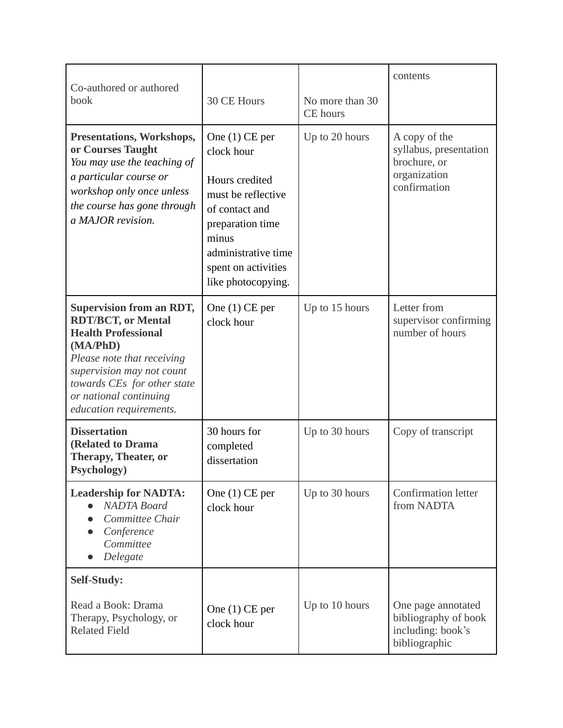| Co-authored or authored                                                                                                                                                                                                                               |                                                                                                                                                                                           |                                    | contents                                                                                |
|-------------------------------------------------------------------------------------------------------------------------------------------------------------------------------------------------------------------------------------------------------|-------------------------------------------------------------------------------------------------------------------------------------------------------------------------------------------|------------------------------------|-----------------------------------------------------------------------------------------|
| book                                                                                                                                                                                                                                                  | 30 CE Hours                                                                                                                                                                               | No more than 30<br><b>CE</b> hours |                                                                                         |
| <b>Presentations, Workshops,</b><br>or Courses Taught<br>You may use the teaching of<br>a particular course or<br>workshop only once unless<br>the course has gone through<br>a MAJOR revision.                                                       | One $(1)$ CE per<br>clock hour<br>Hours credited<br>must be reflective<br>of contact and<br>preparation time<br>minus<br>administrative time<br>spent on activities<br>like photocopying. | Up to 20 hours                     | A copy of the<br>syllabus, presentation<br>brochure, or<br>organization<br>confirmation |
| <b>Supervision from an RDT,</b><br><b>RDT/BCT, or Mental</b><br><b>Health Professional</b><br>(MA/PhD)<br>Please note that receiving<br>supervision may not count<br>towards CEs for other state<br>or national continuing<br>education requirements. | One $(1)$ CE per<br>clock hour                                                                                                                                                            | Up to 15 hours                     | Letter from<br>supervisor confirming<br>number of hours                                 |
| <b>Dissertation</b><br>(Related to Drama<br><b>Therapy, Theater, or</b><br>Psychology)                                                                                                                                                                | 30 hours for<br>completed<br>dissertation                                                                                                                                                 | Up to 30 hours                     | Copy of transcript                                                                      |
| <b>Leadership for NADTA:</b><br><b>NADTA</b> Board<br>Committee Chair<br>Conference<br>Committee<br>Delegate                                                                                                                                          | One $(1)$ CE per<br>clock hour                                                                                                                                                            | Up to 30 hours                     | <b>Confirmation letter</b><br>from NADTA                                                |
| <b>Self-Study:</b>                                                                                                                                                                                                                                    |                                                                                                                                                                                           |                                    |                                                                                         |
| Read a Book: Drama<br>Therapy, Psychology, or<br><b>Related Field</b>                                                                                                                                                                                 | One $(1)$ CE per<br>clock hour                                                                                                                                                            | Up to 10 hours                     | One page annotated<br>bibliography of book<br>including: book's<br>bibliographic        |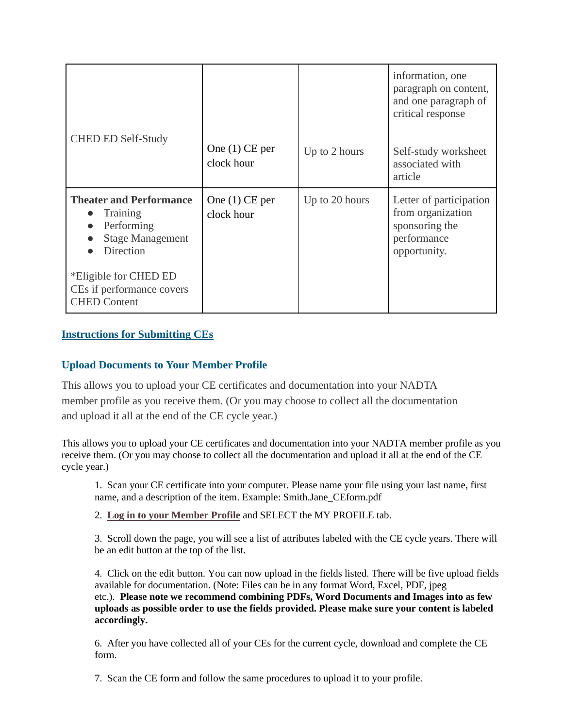|                                                                                                         |                                |                | information, one<br>paragraph on content,<br>and one paragraph of<br>critical response        |
|---------------------------------------------------------------------------------------------------------|--------------------------------|----------------|-----------------------------------------------------------------------------------------------|
| <b>CHED ED Self-Study</b>                                                                               | One $(1)$ CE per<br>clock hour | Up to 2 hours  | Self-study worksheet<br>associated with<br>article                                            |
| <b>Theater and Performance</b><br><b>Training</b><br>Performing<br><b>Stage Management</b><br>Direction | One $(1)$ CE per<br>clock hour | Up to 20 hours | Letter of participation<br>from organization<br>sponsoring the<br>performance<br>opportunity. |
| *Eligible for CHED ED<br>CEs if performance covers<br><b>CHED Content</b>                               |                                |                |                                                                                               |

## **Instructions for Submitting CEs**

## **Upload Documents to Your Member Profile**

This allows you to upload your CE certificates and documentation into your NADTA member profile as you receive them. (Or you may choose to collect all the documentation and upload it all at the end of the CE cycle year.)

This allows you to upload your CE certificates and documentation into your NADTA member profile as you receive them. (Or you may choose to collect all the documentation and upload it all at the end of the CE cycle year.)

1. Scan your CE certificate into your computer. Please name your file using your last name, first name, and a description of the item. Example: Smith.Jane\_CEform.pdf

2. **Log in to your [Member](https://nadta.memberclicks.net/login) Profile** and SELECT the MY PROFILE tab.

3. Scroll down the page, you will see a list of attributes labeled with the CE cycle years. There will be an edit button at the top of the list.

4. Click on the edit button. You can now upload in the fields listed. There will be five upload fields available for documentation. (Note: Files can be in any format Word, Excel, PDF, jpeg etc.). **Please note we recommend combining PDFs, Word Documents and Images into as few uploads as possible order to use the fields provided. Please make sure your content is labeled accordingly.**

6. After you have collected all of your CEs for the current cycle, download and complete the CE form.

7. Scan the CE form and follow the same procedures to upload it to your profile.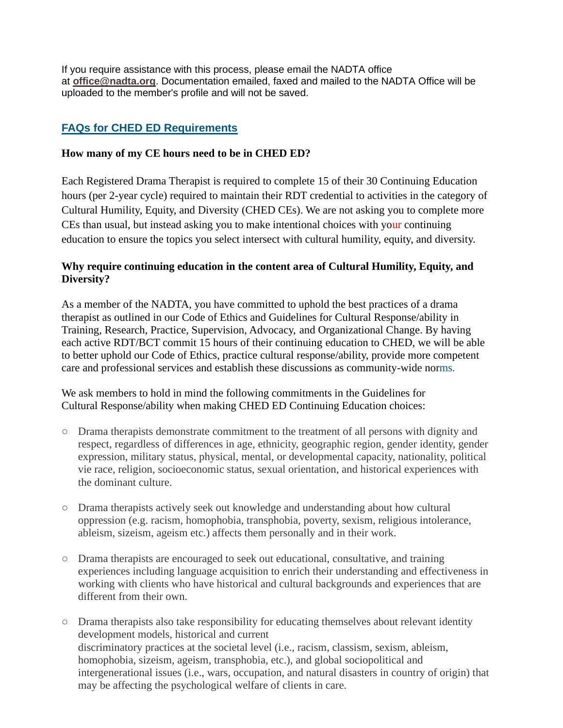If you require assistance with this process, please email the NADTA office at **[office@nadta.org](mailto:office@nadta.org)**. Documentation emailed, faxed and mailed to the NADTA Office will be uploaded to the member's profile and will not be saved.

# **FAQs for CHED ED Requirements**

## **How many of my CE hours need to be in CHED ED?**

Each Registered Drama Therapist is required to complete 15 of their 30 Continuing Education hours (per 2-year cycle) required to maintain their RDT credential to activities in the category of Cultural Humility, Equity, and Diversity (CHED CEs). We are not asking you to complete more CEs than usual, but instead asking you to make intentional choices with your continuing education to ensure the topics you select intersect with cultural humility, equity, and diversity.

## **Why require continuing education in the content area of Cultural Humility, Equity, and Diversity?**

As a member of the NADTA, you have committed to uphold the best practices of a drama therapist as outlined in our Code of Ethics and Guidelines for Cultural Response/ability in Training, Research, Practice, Supervision, Advocacy, and Organizational Change. By having each active RDT/BCT commit 15 hours of their continuing education to CHED, we will be able to better uphold our Code of Ethics, practice cultural response/ability, provide more competent care and professional services and establish these discussions as community-wide norms.

We ask members to hold in mind the following commitments in the Guidelines for Cultural Response/ability when making CHED ED Continuing Education choices:

- Drama therapists demonstrate commitment to the treatment of all persons with dignity and respect, regardless of differences in age, ethnicity, geographic region, gender identity, gender expression, military status, physical, mental, or developmental capacity, nationality, political vie race, religion, socioeconomic status, sexual orientation, and historical experiences with the dominant culture.
- Drama therapists actively seek out knowledge and understanding about how cultural oppression (e.g. racism, homophobia, transphobia, poverty, sexism, religious intolerance, ableism, sizeism, ageism etc.) affects them personally and in their work.
- Drama therapists are encouraged to seek out educational, consultative, and training experiences including language acquisition to enrich their understanding and effectiveness in working with clients who have historical and cultural backgrounds and experiences that are different from their own.
- Drama therapists also take responsibility for educating themselves about relevant identity development models, historical and current discriminatory practices at the societal level (i.e., racism, classism, sexism, ableism, homophobia, sizeism, ageism, transphobia, etc.), and global sociopolitical and intergenerational issues (i.e., wars, occupation, and natural disasters in country of origin) that may be affecting the psychological welfare of clients in care.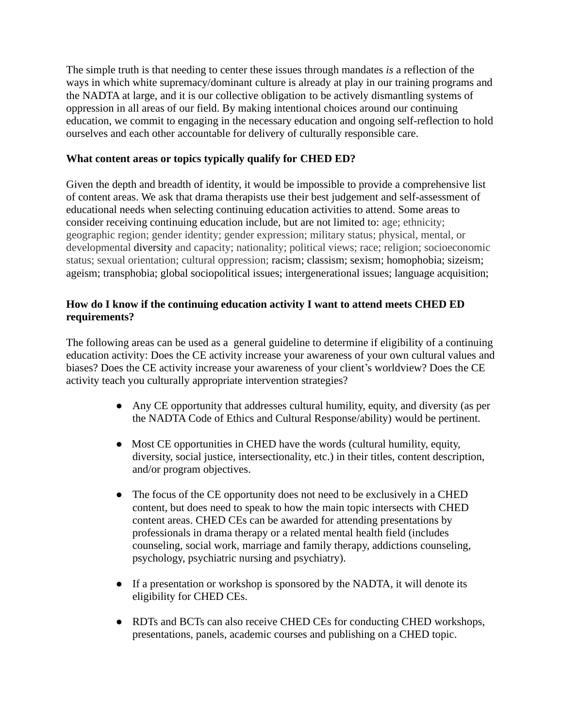The simple truth is that needing to center these issues through mandates *is* a reflection of the ways in which white supremacy/dominant culture is already at play in our training programs and the NADTA at large, and it is our collective obligation to be actively dismantling systems of oppression in all areas of our field. By making intentional choices around our continuing education, we commit to engaging in the necessary education and ongoing self-reflection to hold ourselves and each other accountable for delivery of culturally responsible care.

#### **What content areas or topics typically qualify for CHED ED?**

Given the depth and breadth of identity, it would be impossible to provide a comprehensive list of content areas. We ask that drama therapists use their best judgement and self-assessment of educational needs when selecting continuing education activities to attend. Some areas to consider receiving continuing education include, but are not limited to: age; ethnicity; geographic region; gender identity; gender expression; military status; physical, mental, or developmental diversity and capacity; nationality; political views; race; religion; socioeconomic status; sexual orientation; cultural oppression; racism; classism; sexism; homophobia; sizeism; ageism; transphobia; global sociopolitical issues; intergenerational issues; language acquisition;

#### **How do I know if the continuing education activity I want to attend meets CHED ED requirements?**

The following areas can be used as a general guideline to determine if eligibility of a continuing education activity: Does the CE activity increase your awareness of your own cultural values and biases? Does the CE activity increase your awareness of your client's worldview? Does the CE activity teach you culturally appropriate intervention strategies?

- Any CE opportunity that addresses cultural humility, equity, and diversity (as per the NADTA Code of Ethics and Cultural Response/ability) would be pertinent.
- Most CE opportunities in CHED have the words (cultural humility, equity, diversity, social justice, intersectionality, etc.) in their titles, content description, and/or program objectives.
- The focus of the CE opportunity does not need to be exclusively in a CHED content, but does need to speak to how the main topic intersects with CHED content areas. CHED CEs can be awarded for attending presentations by professionals in drama therapy or a related mental health field (includes counseling, social work, marriage and family therapy, addictions counseling, psychology, psychiatric nursing and psychiatry).
- If a presentation or workshop is sponsored by the NADTA, it will denote its eligibility for CHED CEs.
- RDTs and BCTs can also receive CHED CEs for conducting CHED workshops, presentations, panels, academic courses and publishing on a CHED topic.